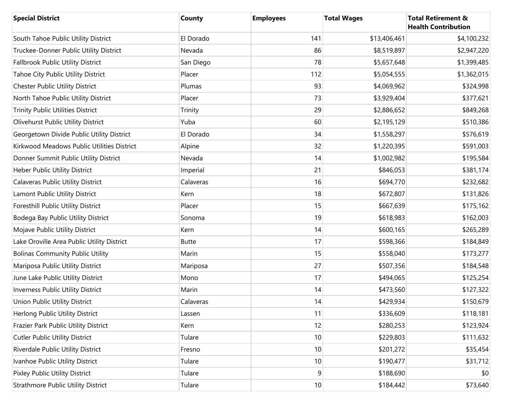| <b>Special District</b>                    | County       | <b>Employees</b> | <b>Total Wages</b> | <b>Total Retirement &amp;</b><br><b>Health Contribution</b> |
|--------------------------------------------|--------------|------------------|--------------------|-------------------------------------------------------------|
| South Tahoe Public Utility District        | El Dorado    | 141              | \$13,406,461       | \$4,100,232                                                 |
| Truckee-Donner Public Utility District     | Nevada       | 86               | \$8,519,897        | \$2,947,220                                                 |
| <b>Fallbrook Public Utility District</b>   | San Diego    | 78               | \$5,657,648        | \$1,399,485                                                 |
| Tahoe City Public Utility District         | Placer       | 112              | \$5,054,555        | \$1,362,015                                                 |
| Chester Public Utility District            | Plumas       | 93               | \$4,069,962        | \$324,998                                                   |
| North Tahoe Public Utility District        | Placer       | 73               | \$3,929,404        | \$377,621                                                   |
| Trinity Public Utilities District          | Trinity      | 29               | \$2,886,652        | \$849,268                                                   |
| Olivehurst Public Utility District         | Yuba         | 60               | \$2,195,129        | \$510,386                                                   |
| Georgetown Divide Public Utility District  | El Dorado    | 34               | \$1,558,297        | \$576,619                                                   |
| Kirkwood Meadows Public Utilities District | Alpine       | 32               | \$1,220,395        | \$591,003                                                   |
| Donner Summit Public Utility District      | Nevada       | 14               | \$1,002,982        | \$195,584                                                   |
| Heber Public Utility District              | Imperial     | 21               | \$846,053          | \$381,174                                                   |
| <b>Calaveras Public Utility District</b>   | Calaveras    | 16               | \$694,770          | \$232,682                                                   |
| Lamont Public Utility District             | Kern         | 18               | \$672,807          | \$131,826                                                   |
| Foresthill Public Utility District         | Placer       | 15               | \$667,639          | \$175,162                                                   |
| Bodega Bay Public Utility District         | Sonoma       | 19               | \$618,983          | \$162,003                                                   |
| Mojave Public Utility District             | Kern         | 14               | \$600,165          | \$265,289                                                   |
| Lake Oroville Area Public Utility District | <b>Butte</b> | 17               | \$598,366          | \$184,849                                                   |
| <b>Bolinas Community Public Utility</b>    | Marin        | 15               | \$558,040          | \$173,277                                                   |
| Mariposa Public Utility District           | Mariposa     | 27               | \$507,356          | \$184,548                                                   |
| June Lake Public Utility District          | Mono         | 17               | \$494,065          | \$125,254                                                   |
| Inverness Public Utility District          | Marin        | 14               | \$473,560          | \$127,322                                                   |
| Union Public Utility District              | Calaveras    | 14               | \$429,934          | \$150,679                                                   |
| Herlong Public Utility District            | Lassen       | 11               | \$336,609          | \$118,181                                                   |
| Frazier Park Public Utility District       | Kern         | 12               | \$280,253          | \$123,924                                                   |
| <b>Cutler Public Utility District</b>      | Tulare       | 10               | \$229,803          | \$111,632                                                   |
| Riverdale Public Utility District          | Fresno       | 10               | \$201,272          | \$35,454                                                    |
| Ivanhoe Public Utility District            | Tulare       | 10               | \$190,477          | \$31,712                                                    |
| Pixley Public Utility District             | Tulare       | $\boldsymbol{9}$ | \$188,690          | \$0                                                         |
| <b>Strathmore Public Utility District</b>  | Tulare       | $10$             | \$184,442          | \$73,640                                                    |